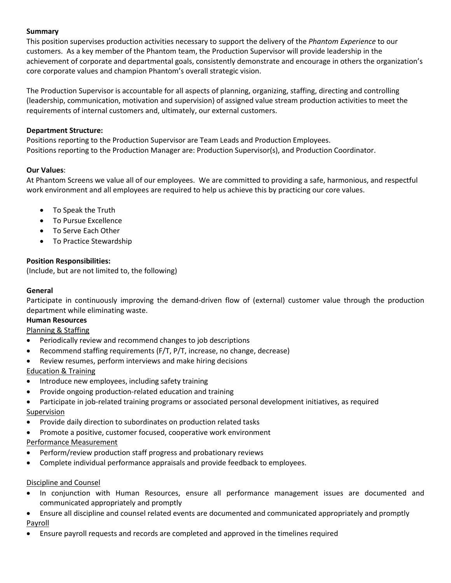### **Summary**

This position supervises production activities necessary to support the delivery of the *Phantom Experience* to our customers. As a key member of the Phantom team, the Production Supervisor will provide leadership in the achievement of corporate and departmental goals, consistently demonstrate and encourage in others the organization's core corporate values and champion Phantom's overall strategic vision.

The Production Supervisor is accountable for all aspects of planning, organizing, staffing, directing and controlling (leadership, communication, motivation and supervision) of assigned value stream production activities to meet the requirements of internal customers and, ultimately, our external customers.

#### **Department Structure:**

Positions reporting to the Production Supervisor are Team Leads and Production Employees. Positions reporting to the Production Manager are: Production Supervisor(s), and Production Coordinator.

#### **Our Values**:

At Phantom Screens we value all of our employees. We are committed to providing a safe, harmonious, and respectful work environment and all employees are required to help us achieve this by practicing our core values.

- To Speak the Truth
- To Pursue Excellence
- To Serve Each Other
- To Practice Stewardship

### **Position Responsibilities:**

(Include, but are not limited to, the following)

### **General**

Participate in continuously improving the demand-driven flow of (external) customer value through the production department while eliminating waste.

#### **Human Resources**

Planning & Staffing

- Periodically review and recommend changes to job descriptions
- Recommend staffing requirements (F/T, P/T, increase, no change, decrease)
- Review resumes, perform interviews and make hiring decisions

#### Education & Training

- Introduce new employees, including safety training
- Provide ongoing production-related education and training
- Participate in job-related training programs or associated personal development initiatives, as required Supervision
- Provide daily direction to subordinates on production related tasks
- Promote a positive, customer focused, cooperative work environment

#### Performance Measurement

- Perform/review production staff progress and probationary reviews
- Complete individual performance appraisals and provide feedback to employees.

#### Discipline and Counsel

- In conjunction with Human Resources, ensure all performance management issues are documented and communicated appropriately and promptly
- Ensure all discipline and counsel related events are documented and communicated appropriately and promptly Payroll
- Ensure payroll requests and records are completed and approved in the timelines required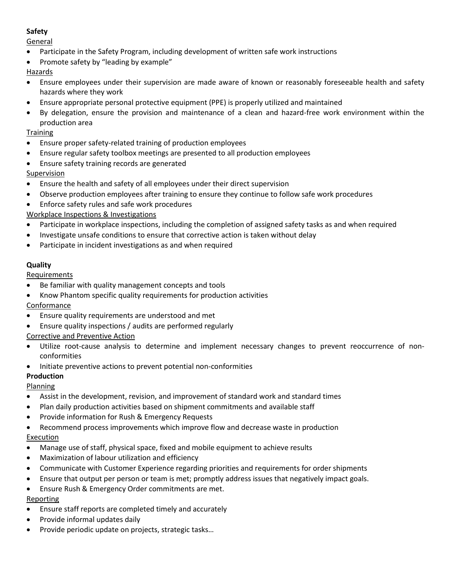# **Safety**

**General** 

- Participate in the Safety Program, including development of written safe work instructions
- Promote safety by "leading by example"

# **Hazards**

- Ensure employees under their supervision are made aware of known or reasonably foreseeable health and safety hazards where they work
- Ensure appropriate personal protective equipment (PPE) is properly utilized and maintained
- By delegation, ensure the provision and maintenance of a clean and hazard-free work environment within the production area

## **Training**

- Ensure proper safety-related training of production employees
- Ensure regular safety toolbox meetings are presented to all production employees
- Ensure safety training records are generated

## **Supervision**

- Ensure the health and safety of all employees under their direct supervision
- Observe production employees after training to ensure they continue to follow safe work procedures
- Enforce safety rules and safe work procedures
- Workplace Inspections & Investigations
- Participate in workplace inspections, including the completion of assigned safety tasks as and when required
- Investigate unsafe conditions to ensure that corrective action is taken without delay
- Participate in incident investigations as and when required

### **Quality**

**Requirements** 

- Be familiar with quality management concepts and tools
- Know Phantom specific quality requirements for production activities

## Conformance

- Ensure quality requirements are understood and met
- Ensure quality inspections / audits are performed regularly
- Corrective and Preventive Action
- Utilize root-cause analysis to determine and implement necessary changes to prevent reoccurrence of nonconformities
- Initiate preventive actions to prevent potential non-conformities

# **Production**

## Planning

- Assist in the development, revision, and improvement of standard work and standard times
- Plan daily production activities based on shipment commitments and available staff
- Provide information for Rush & Emergency Requests
- Recommend process improvements which improve flow and decrease waste in production **Execution**
- Manage use of staff, physical space, fixed and mobile equipment to achieve results
- Maximization of labour utilization and efficiency
- Communicate with Customer Experience regarding priorities and requirements for order shipments
- Ensure that output per person or team is met; promptly address issues that negatively impact goals.
- Ensure Rush & Emergency Order commitments are met.

## Reporting

- Ensure staff reports are completed timely and accurately
- Provide informal updates daily
- Provide periodic update on projects, strategic tasks…